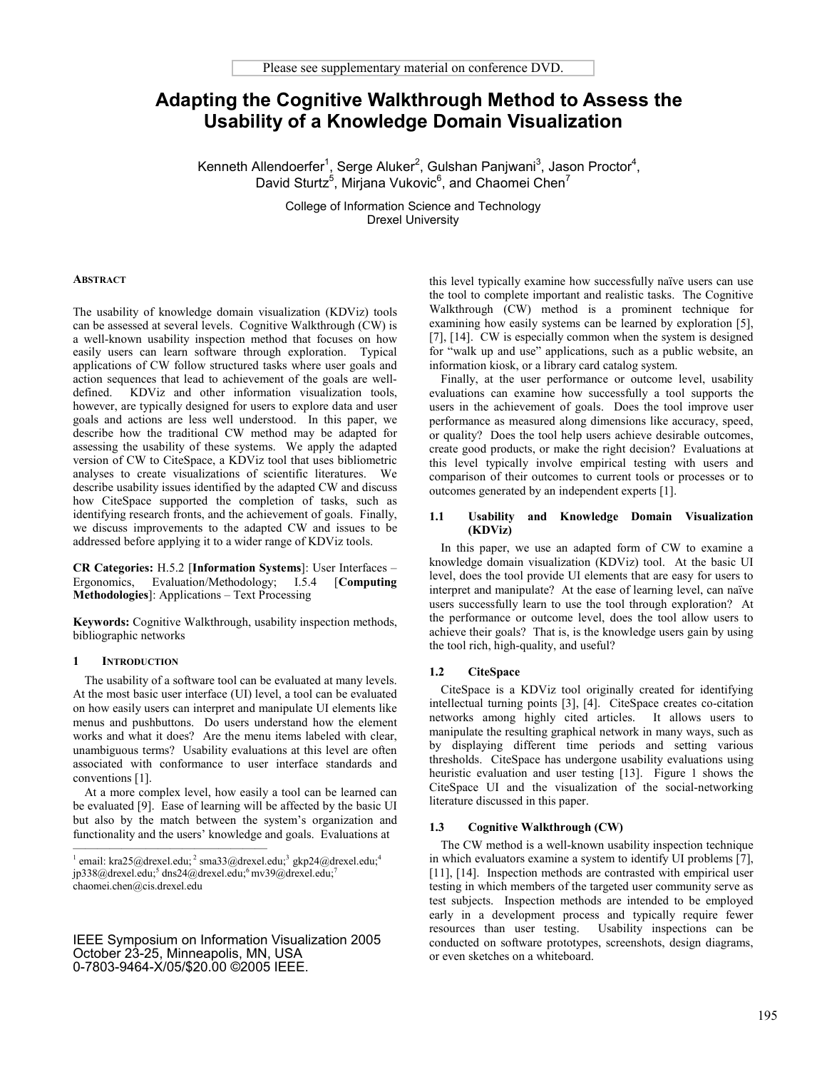# Adapting the Cognitive Walkthrough Method to Assess the Usability of a Knowledge Domain Visualization

Kenneth Allendoerfer<sup>1</sup>, Serge Aluker<sup>2</sup>, Gulshan Panjwani<sup>3</sup>, Jason Proctor<sup>4</sup>, David Sturtz<sup>5</sup>, Mirjana Vukovic<sup>6</sup>, and Chaomei Chen<sup>7</sup>

> College of Information Science and Technology Drexel University

#### **ABSTRACT**

The usability of knowledge domain visualization (KDViz) tools can be assessed at several levels. Cognitive Walkthrough (CW) is a well-known usability inspection method that focuses on how easily users can learn software through exploration. Typical applications of CW follow structured tasks where user goals and action sequences that lead to achievement of the goals are welldefined. KDViz and other information visualization tools, however, are typically designed for users to explore data and user goals and actions are less well understood. In this paper, we describe how the traditional CW method may be adapted for assessing the usability of these systems. We apply the adapted version of CW to CiteSpace, a KDViz tool that uses bibliometric analyses to create visualizations of scientific literatures. We describe usability issues identified by the adapted CW and discuss how CiteSpace supported the completion of tasks, such as identifying research fronts, and the achievement of goals. Finally, we discuss improvements to the adapted CW and issues to be addressed before applying it to a wider range of KDViz tools.

CR Categories: H.5.2 [Information Systems]: User Interfaces – Ergonomics, Evaluation/Methodology; I.5.4 [Computing Methodologies]: Applications – Text Processing

Keywords: Cognitive Walkthrough, usability inspection methods, bibliographic networks

#### 1 INTRODUCTION

The usability of a software tool can be evaluated at many levels. At the most basic user interface (UI) level, a tool can be evaluated on how easily users can interpret and manipulate UI elements like menus and pushbuttons. Do users understand how the element works and what it does? Are the menu items labeled with clear, unambiguous terms? Usability evaluations at this level are often associated with conformance to user interface standards and conventions [1].

At a more complex level, how easily a tool can be learned can be evaluated [9]. Ease of learning will be affected by the basic UI but also by the match between the system's organization and functionality and the users' knowledge and goals. Evaluations at

IEEE Symposium on Information Visualization 2005 October 23-25, Minneapolis, MN, USA 0-7803-9464-X/05/\$20.00 ©2005 IEEE.

this level typically examine how successfully naïve users can use the tool to complete important and realistic tasks. The Cognitive Walkthrough (CW) method is a prominent technique for examining how easily systems can be learned by exploration [5], [7], [14]. CW is especially common when the system is designed for "walk up and use" applications, such as a public website, an information kiosk, or a library card catalog system.

Finally, at the user performance or outcome level, usability evaluations can examine how successfully a tool supports the users in the achievement of goals. Does the tool improve user performance as measured along dimensions like accuracy, speed, or quality? Does the tool help users achieve desirable outcomes, create good products, or make the right decision? Evaluations at this level typically involve empirical testing with users and comparison of their outcomes to current tools or processes or to outcomes generated by an independent experts [1].

### 1.1 Usability and Knowledge Domain Visualization (KDViz)

In this paper, we use an adapted form of CW to examine a knowledge domain visualization (KDViz) tool. At the basic UI level, does the tool provide UI elements that are easy for users to interpret and manipulate? At the ease of learning level, can naïve users successfully learn to use the tool through exploration? At the performance or outcome level, does the tool allow users to achieve their goals? That is, is the knowledge users gain by using the tool rich, high-quality, and useful?

#### 1.2 CiteSpace

CiteSpace is a KDViz tool originally created for identifying intellectual turning points [3], [4]. CiteSpace creates co-citation networks among highly cited articles. It allows users to manipulate the resulting graphical network in many ways, such as by displaying different time periods and setting various thresholds. CiteSpace has undergone usability evaluations using heuristic evaluation and user testing [13]. Figure 1 shows the CiteSpace UI and the visualization of the social-networking literature discussed in this paper.

#### 1.3 Cognitive Walkthrough (CW)

The CW method is a well-known usability inspection technique in which evaluators examine a system to identify UI problems [7], [11], [14]. Inspection methods are contrasted with empirical user testing in which members of the targeted user community serve as test subjects. Inspection methods are intended to be employed early in a development process and typically require fewer resources than user testing. Usability inspections can be conducted on software prototypes, screenshots, design diagrams, or even sketches on a whiteboard.

<sup>————————————————</sup> <sup>1</sup> email: kra25@drexel.edu;<sup>2</sup> sma33@drexel.edu;<sup>3</sup>gkp24@drexel.edu;<sup>4</sup> jp338@drexel.edu;<sup>5</sup> dns24@drexel.edu;<sup>6</sup>mv39@drexel.edu;<sup>7</sup> chaomei.chen@cis.drexel.edu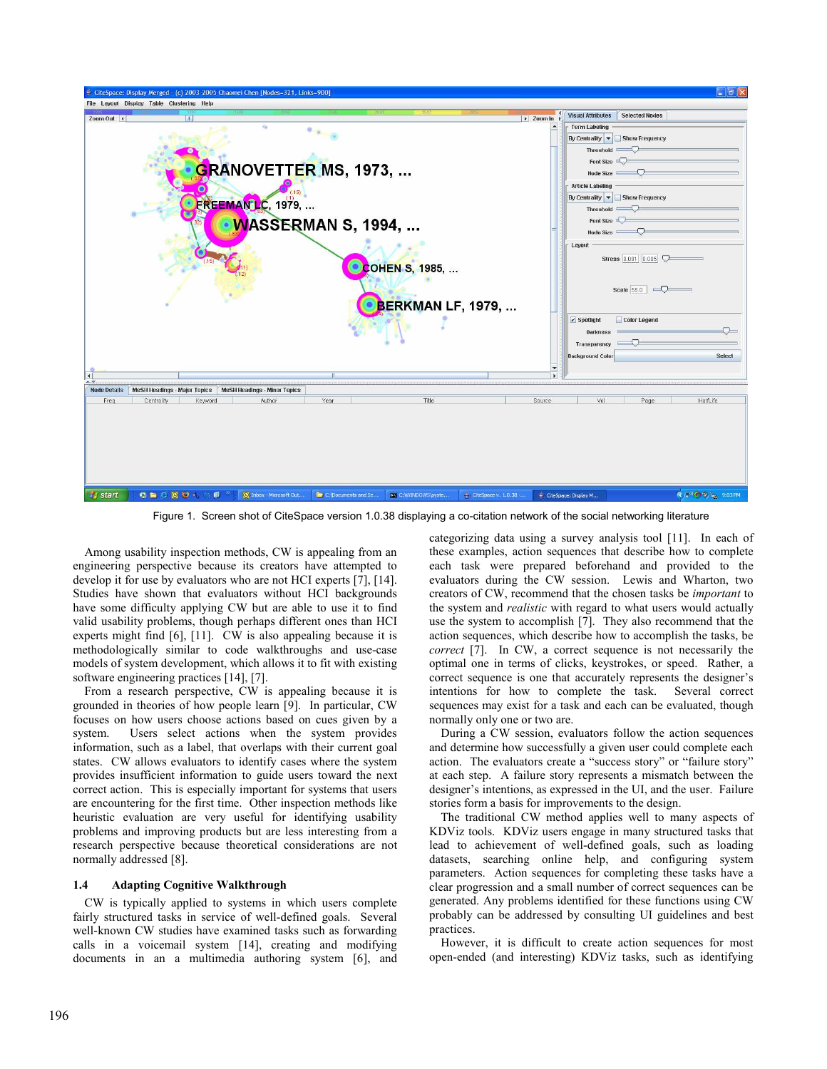

Figure 1. Screen shot of CiteSpace version 1.0.38 displaying a co-citation network of the social networking literature

Among usability inspection methods, CW is appealing from an engineering perspective because its creators have attempted to develop it for use by evaluators who are not HCI experts [7], [14]. Studies have shown that evaluators without HCI backgrounds have some difficulty applying CW but are able to use it to find valid usability problems, though perhaps different ones than HCI experts might find [6], [11]. CW is also appealing because it is methodologically similar to code walkthroughs and use-case models of system development, which allows it to fit with existing software engineering practices [14], [7].

From a research perspective, CW is appealing because it is grounded in theories of how people learn [9]. In particular, CW focuses on how users choose actions based on cues given by a system. Users select actions when the system provides information, such as a label, that overlaps with their current goal states. CW allows evaluators to identify cases where the system provides insufficient information to guide users toward the next correct action. This is especially important for systems that users are encountering for the first time. Other inspection methods like heuristic evaluation are very useful for identifying usability problems and improving products but are less interesting from a research perspective because theoretical considerations are not normally addressed [8].

# 1.4 Adapting Cognitive Walkthrough

CW is typically applied to systems in which users complete fairly structured tasks in service of well-defined goals. Several well-known CW studies have examined tasks such as forwarding calls in a voicemail system [14], creating and modifying documents in an a multimedia authoring system [6], and

categorizing data using a survey analysis tool [11]. In each of these examples, action sequences that describe how to complete each task were prepared beforehand and provided to the evaluators during the CW session. Lewis and Wharton, two creators of CW, recommend that the chosen tasks be important to the system and *realistic* with regard to what users would actually use the system to accomplish [7]. They also recommend that the action sequences, which describe how to accomplish the tasks, be correct [7]. In CW, a correct sequence is not necessarily the optimal one in terms of clicks, keystrokes, or speed. Rather, a correct sequence is one that accurately represents the designer's intentions for how to complete the task. Several correct sequences may exist for a task and each can be evaluated, though normally only one or two are.

During a CW session, evaluators follow the action sequences and determine how successfully a given user could complete each action. The evaluators create a "success story" or "failure story" at each step. A failure story represents a mismatch between the designer's intentions, as expressed in the UI, and the user. Failure stories form a basis for improvements to the design.

The traditional CW method applies well to many aspects of KDViz tools. KDViz users engage in many structured tasks that lead to achievement of well-defined goals, such as loading datasets, searching online help, and configuring system parameters. Action sequences for completing these tasks have a clear progression and a small number of correct sequences can be generated. Any problems identified for these functions using CW probably can be addressed by consulting UI guidelines and best practices.

However, it is difficult to create action sequences for most open-ended (and interesting) KDViz tasks, such as identifying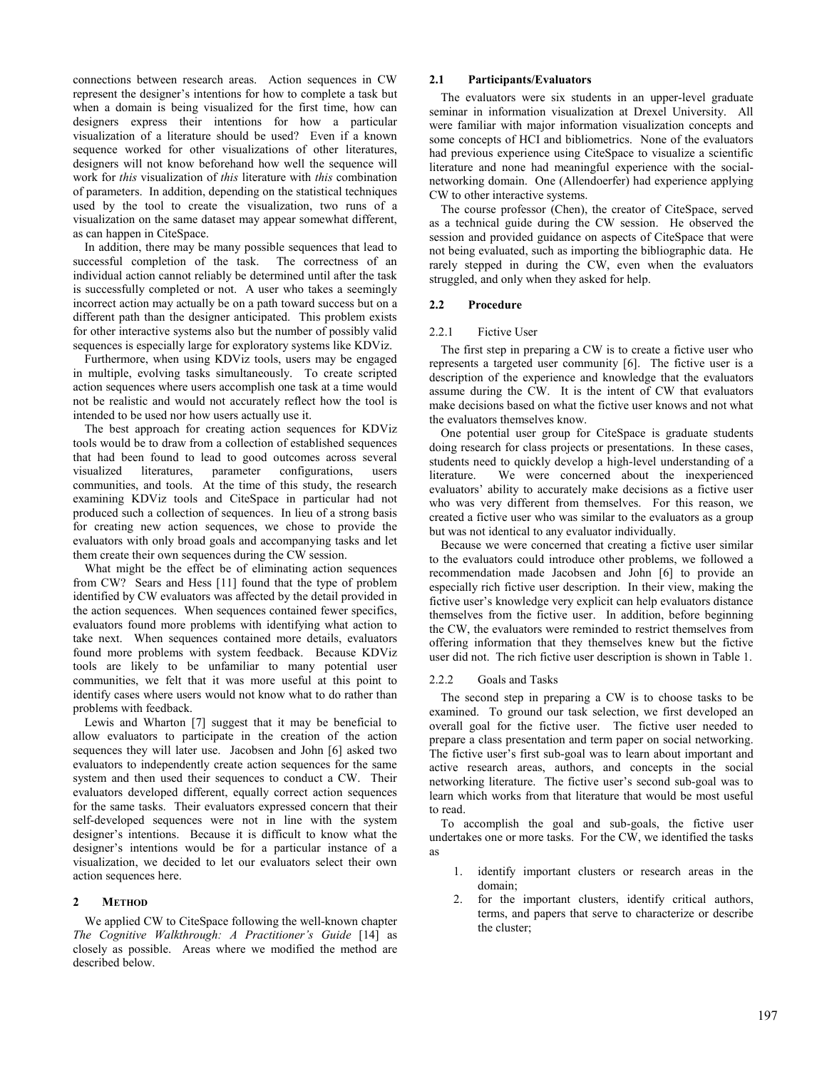connections between research areas. Action sequences in CW represent the designer's intentions for how to complete a task but when a domain is being visualized for the first time, how can designers express their intentions for how a particular visualization of a literature should be used? Even if a known sequence worked for other visualizations of other literatures, designers will not know beforehand how well the sequence will work for this visualization of this literature with this combination of parameters. In addition, depending on the statistical techniques used by the tool to create the visualization, two runs of a visualization on the same dataset may appear somewhat different, as can happen in CiteSpace.

In addition, there may be many possible sequences that lead to successful completion of the task. The correctness of an individual action cannot reliably be determined until after the task is successfully completed or not. A user who takes a seemingly incorrect action may actually be on a path toward success but on a different path than the designer anticipated. This problem exists for other interactive systems also but the number of possibly valid sequences is especially large for exploratory systems like KDViz.

Furthermore, when using KDViz tools, users may be engaged in multiple, evolving tasks simultaneously. To create scripted action sequences where users accomplish one task at a time would not be realistic and would not accurately reflect how the tool is intended to be used nor how users actually use it.

The best approach for creating action sequences for KDViz tools would be to draw from a collection of established sequences that had been found to lead to good outcomes across several visualized literatures, parameter configurations, users communities, and tools. At the time of this study, the research examining KDViz tools and CiteSpace in particular had not produced such a collection of sequences. In lieu of a strong basis for creating new action sequences, we chose to provide the evaluators with only broad goals and accompanying tasks and let them create their own sequences during the CW session.

What might be the effect be of eliminating action sequences from CW? Sears and Hess [11] found that the type of problem identified by CW evaluators was affected by the detail provided in the action sequences. When sequences contained fewer specifics, evaluators found more problems with identifying what action to take next. When sequences contained more details, evaluators found more problems with system feedback. Because KDViz tools are likely to be unfamiliar to many potential user communities, we felt that it was more useful at this point to identify cases where users would not know what to do rather than problems with feedback.

Lewis and Wharton [7] suggest that it may be beneficial to allow evaluators to participate in the creation of the action sequences they will later use. Jacobsen and John [6] asked two evaluators to independently create action sequences for the same system and then used their sequences to conduct a CW. Their evaluators developed different, equally correct action sequences for the same tasks. Their evaluators expressed concern that their self-developed sequences were not in line with the system designer's intentions. Because it is difficult to know what the designer's intentions would be for a particular instance of a visualization, we decided to let our evaluators select their own action sequences here.

### 2 METHOD

We applied CW to CiteSpace following the well-known chapter The Cognitive Walkthrough: A Practitioner's Guide [14] as closely as possible. Areas where we modified the method are described below.

# 2.1 Participants/Evaluators

The evaluators were six students in an upper-level graduate seminar in information visualization at Drexel University. All were familiar with major information visualization concepts and some concepts of HCI and bibliometrics. None of the evaluators had previous experience using CiteSpace to visualize a scientific literature and none had meaningful experience with the socialnetworking domain. One (Allendoerfer) had experience applying CW to other interactive systems.

The course professor (Chen), the creator of CiteSpace, served as a technical guide during the CW session. He observed the session and provided guidance on aspects of CiteSpace that were not being evaluated, such as importing the bibliographic data. He rarely stepped in during the CW, even when the evaluators struggled, and only when they asked for help.

### 2.2 Procedure

### 2.2.1 Fictive User

The first step in preparing a CW is to create a fictive user who represents a targeted user community [6]. The fictive user is a description of the experience and knowledge that the evaluators assume during the CW. It is the intent of CW that evaluators make decisions based on what the fictive user knows and not what the evaluators themselves know.

One potential user group for CiteSpace is graduate students doing research for class projects or presentations. In these cases, students need to quickly develop a high-level understanding of a literature. We were concerned about the inexperienced evaluators' ability to accurately make decisions as a fictive user who was very different from themselves. For this reason, we created a fictive user who was similar to the evaluators as a group but was not identical to any evaluator individually.

Because we were concerned that creating a fictive user similar to the evaluators could introduce other problems, we followed a recommendation made Jacobsen and John [6] to provide an especially rich fictive user description. In their view, making the fictive user's knowledge very explicit can help evaluators distance themselves from the fictive user. In addition, before beginning the CW, the evaluators were reminded to restrict themselves from offering information that they themselves knew but the fictive user did not. The rich fictive user description is shown in Table 1.

### 2.2.2 Goals and Tasks

The second step in preparing a CW is to choose tasks to be examined. To ground our task selection, we first developed an overall goal for the fictive user. The fictive user needed to prepare a class presentation and term paper on social networking. The fictive user's first sub-goal was to learn about important and active research areas, authors, and concepts in the social networking literature. The fictive user's second sub-goal was to learn which works from that literature that would be most useful to read.

To accomplish the goal and sub-goals, the fictive user undertakes one or more tasks. For the CW, we identified the tasks as

- 1. identify important clusters or research areas in the domain;
- 2. for the important clusters, identify critical authors, terms, and papers that serve to characterize or describe the cluster;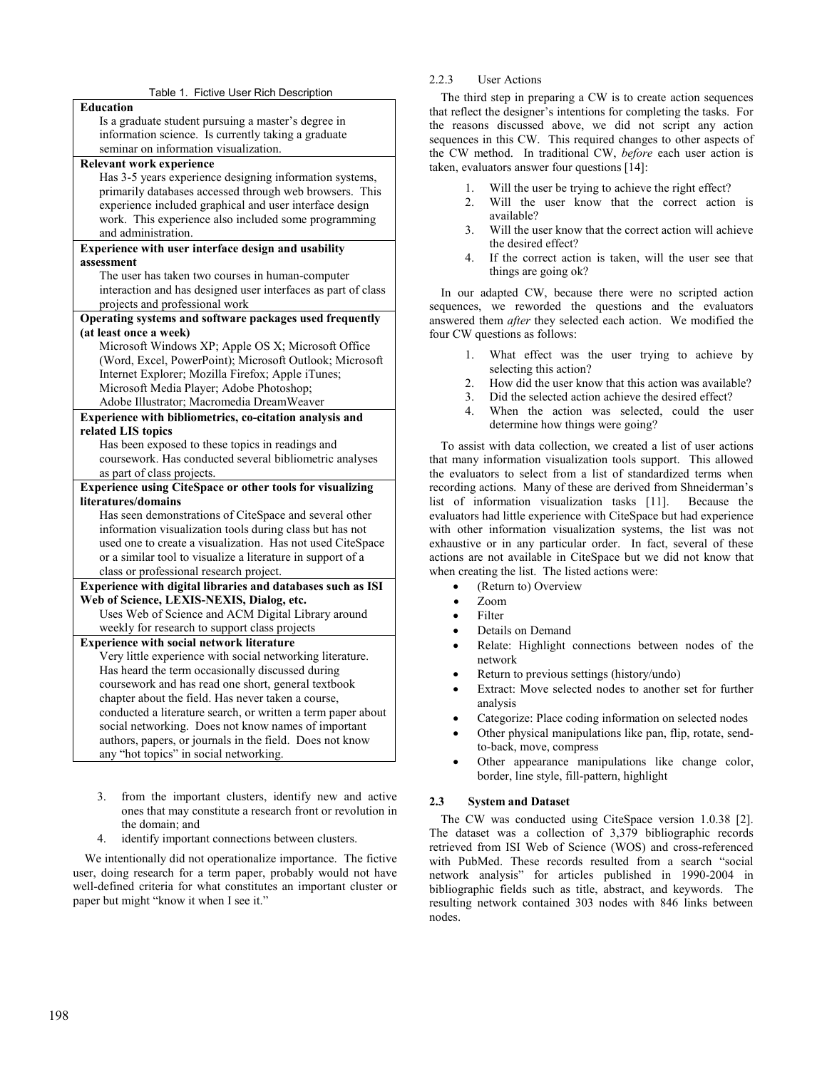| Table 1. Fictive User Rich Description |
|----------------------------------------|
|----------------------------------------|

### Education

Is a graduate student pursuing a master's degree in information science. Is currently taking a graduate seminar on information visualization.

# Relevant work experience

Has 3-5 years experience designing information systems, primarily databases accessed through web browsers. This experience included graphical and user interface design work. This experience also included some programming and administration.

#### Experience with user interface design and usability assessment

The user has taken two courses in human-computer interaction and has designed user interfaces as part of class projects and professional work

# Operating systems and software packages used frequently (at least once a week)

Microsoft Windows XP; Apple OS X; Microsoft Office (Word, Excel, PowerPoint); Microsoft Outlook; Microsoft Internet Explorer; Mozilla Firefox; Apple iTunes; Microsoft Media Player; Adobe Photoshop; Adobe Illustrator; Macromedia DreamWeaver

# Experience with bibliometrics, co-citation analysis and related LIS topics

Has been exposed to these topics in readings and coursework. Has conducted several bibliometric analyses as part of class projects.

# Experience using CiteSpace or other tools for visualizing literatures/domains

Has seen demonstrations of CiteSpace and several other information visualization tools during class but has not used one to create a visualization. Has not used CiteSpace or a similar tool to visualize a literature in support of a class or professional research project.

# Experience with digital libraries and databases such as ISI Web of Science, LEXIS-NEXIS, Dialog, etc.

Uses Web of Science and ACM Digital Library around weekly for research to support class projects

# Experience with social network literature

Very little experience with social networking literature. Has heard the term occasionally discussed during coursework and has read one short, general textbook chapter about the field. Has never taken a course, conducted a literature search, or written a term paper about social networking. Does not know names of important authors, papers, or journals in the field. Does not know any "hot topics" in social networking.

- 3. from the important clusters, identify new and active ones that may constitute a research front or revolution in the domain; and
- 4. identify important connections between clusters.

We intentionally did not operationalize importance. The fictive user, doing research for a term paper, probably would not have well-defined criteria for what constitutes an important cluster or paper but might "know it when I see it."

# 2.2.3 User Actions

The third step in preparing a CW is to create action sequences that reflect the designer's intentions for completing the tasks. For the reasons discussed above, we did not script any action sequences in this CW. This required changes to other aspects of the CW method. In traditional CW, before each user action is taken, evaluators answer four questions [14]:

- 1. Will the user be trying to achieve the right effect?
- 2. Will the user know that the correct action is available?
- 3. Will the user know that the correct action will achieve the desired effect?
- 4. If the correct action is taken, will the user see that things are going ok?

In our adapted CW, because there were no scripted action sequences, we reworded the questions and the evaluators answered them after they selected each action. We modified the four CW questions as follows:

- 1. What effect was the user trying to achieve by selecting this action?
- 2. How did the user know that this action was available?<br>3. Did the selected action achieve the desired effect?
- Did the selected action achieve the desired effect?
- 4. When the action was selected, could the user determine how things were going?

To assist with data collection, we created a list of user actions that many information visualization tools support. This allowed the evaluators to select from a list of standardized terms when recording actions. Many of these are derived from Shneiderman's list of information visualization tasks [11]. Because the evaluators had little experience with CiteSpace but had experience with other information visualization systems, the list was not exhaustive or in any particular order. In fact, several of these actions are not available in CiteSpace but we did not know that when creating the list. The listed actions were:

- (Return to) Overview
- Zoom
- Filter
- Details on Demand
- Relate: Highlight connections between nodes of the network
- Return to previous settings (history/undo)
- Extract: Move selected nodes to another set for further analysis
- Categorize: Place coding information on selected nodes
- Other physical manipulations like pan, flip, rotate, sendto-back, move, compress
- Other appearance manipulations like change color, border, line style, fill-pattern, highlight

# 2.3 System and Dataset

The CW was conducted using CiteSpace version 1.0.38 [2]. The dataset was a collection of 3,379 bibliographic records retrieved from ISI Web of Science (WOS) and cross-referenced with PubMed. These records resulted from a search "social network analysis" for articles published in 1990-2004 in bibliographic fields such as title, abstract, and keywords. The resulting network contained 303 nodes with 846 links between nodes.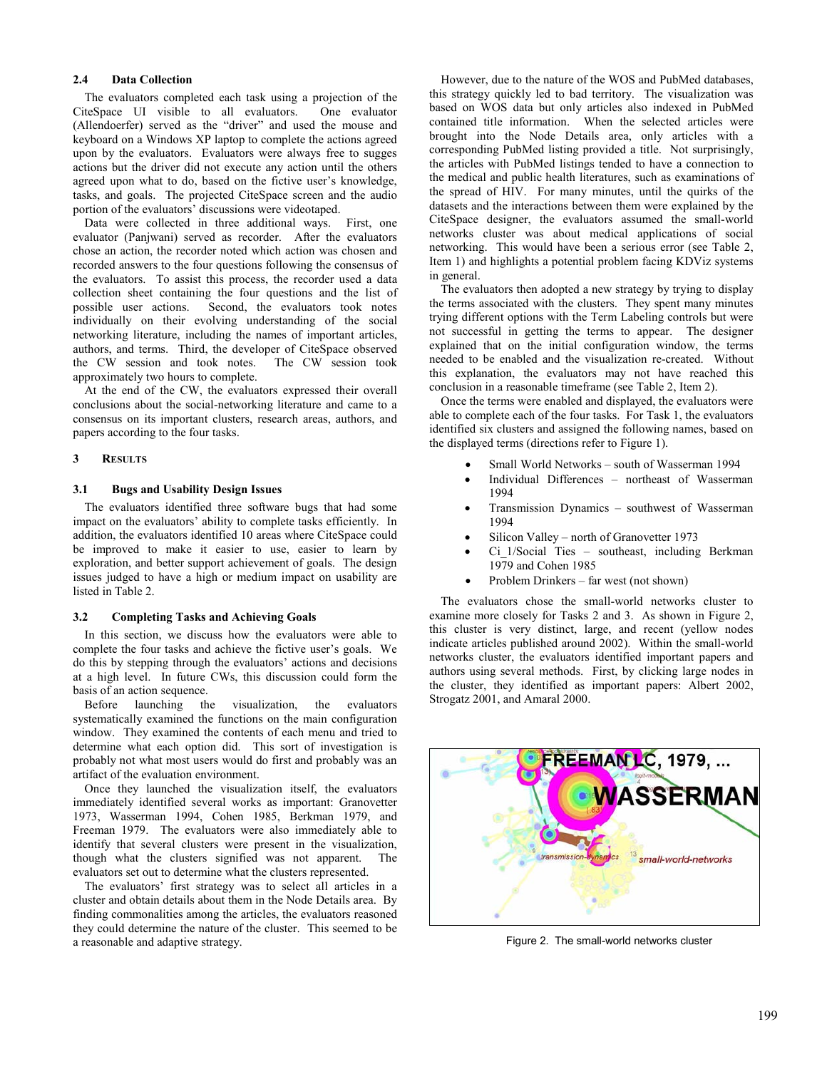# 2.4 Data Collection

The evaluators completed each task using a projection of the CiteSpace UI visible to all evaluators. One evaluator (Allendoerfer) served as the "driver" and used the mouse and keyboard on a Windows XP laptop to complete the actions agreed upon by the evaluators. Evaluators were always free to sugges actions but the driver did not execute any action until the others agreed upon what to do, based on the fictive user's knowledge, tasks, and goals. The projected CiteSpace screen and the audio portion of the evaluators' discussions were videotaped.

Data were collected in three additional ways. First, one evaluator (Panjwani) served as recorder. After the evaluators chose an action, the recorder noted which action was chosen and recorded answers to the four questions following the consensus of the evaluators. To assist this process, the recorder used a data collection sheet containing the four questions and the list of possible user actions. Second, the evaluators took notes Second, the evaluators took notes individually on their evolving understanding of the social networking literature, including the names of important articles, authors, and terms. Third, the developer of CiteSpace observed<br>the CW session and took notes. The CW session took the CW session and took notes. approximately two hours to complete.

At the end of the CW, the evaluators expressed their overall conclusions about the social-networking literature and came to a consensus on its important clusters, research areas, authors, and papers according to the four tasks.

### 3 RESULTS

### 3.1 Bugs and Usability Design Issues

The evaluators identified three software bugs that had some impact on the evaluators' ability to complete tasks efficiently. In addition, the evaluators identified 10 areas where CiteSpace could be improved to make it easier to use, easier to learn by exploration, and better support achievement of goals. The design issues judged to have a high or medium impact on usability are listed in Table 2.

#### 3.2 Completing Tasks and Achieving Goals

In this section, we discuss how the evaluators were able to complete the four tasks and achieve the fictive user's goals. We do this by stepping through the evaluators' actions and decisions at a high level. In future CWs, this discussion could form the basis of an action sequence.

Before launching the visualization, the evaluators systematically examined the functions on the main configuration window. They examined the contents of each menu and tried to determine what each option did. This sort of investigation is probably not what most users would do first and probably was an artifact of the evaluation environment.

Once they launched the visualization itself, the evaluators immediately identified several works as important: Granovetter 1973, Wasserman 1994, Cohen 1985, Berkman 1979, and Freeman 1979. The evaluators were also immediately able to identify that several clusters were present in the visualization, though what the clusters signified was not apparent. The evaluators set out to determine what the clusters represented.

The evaluators' first strategy was to select all articles in a cluster and obtain details about them in the Node Details area. By finding commonalities among the articles, the evaluators reasoned they could determine the nature of the cluster. This seemed to be a reasonable and adaptive strategy.

However, due to the nature of the WOS and PubMed databases, this strategy quickly led to bad territory. The visualization was based on WOS data but only articles also indexed in PubMed contained title information. When the selected articles were brought into the Node Details area, only articles with a corresponding PubMed listing provided a title. Not surprisingly, the articles with PubMed listings tended to have a connection to the medical and public health literatures, such as examinations of the spread of HIV. For many minutes, until the quirks of the datasets and the interactions between them were explained by the CiteSpace designer, the evaluators assumed the small-world networks cluster was about medical applications of social networking. This would have been a serious error (see Table 2, Item 1) and highlights a potential problem facing KDViz systems in general.

The evaluators then adopted a new strategy by trying to display the terms associated with the clusters. They spent many minutes trying different options with the Term Labeling controls but were not successful in getting the terms to appear. The designer explained that on the initial configuration window, the terms needed to be enabled and the visualization re-created. Without this explanation, the evaluators may not have reached this conclusion in a reasonable timeframe (see Table 2, Item 2).

Once the terms were enabled and displayed, the evaluators were able to complete each of the four tasks. For Task 1, the evaluators identified six clusters and assigned the following names, based on the displayed terms (directions refer to Figure 1).

- Small World Networks south of Wasserman 1994
- Individual Differences northeast of Wasserman 1994
- Transmission Dynamics southwest of Wasserman 1994
- Silicon Valley north of Granovetter 1973
- Ci\_1/Social Ties southeast, including Berkman 1979 and Cohen 1985
- Problem Drinkers far west (not shown)

The evaluators chose the small-world networks cluster to examine more closely for Tasks 2 and 3. As shown in Figure 2, this cluster is very distinct, large, and recent (yellow nodes indicate articles published around 2002). Within the small-world networks cluster, the evaluators identified important papers and authors using several methods. First, by clicking large nodes in the cluster, they identified as important papers: Albert 2002, Strogatz 2001, and Amaral 2000.



Figure 2. The small-world networks cluster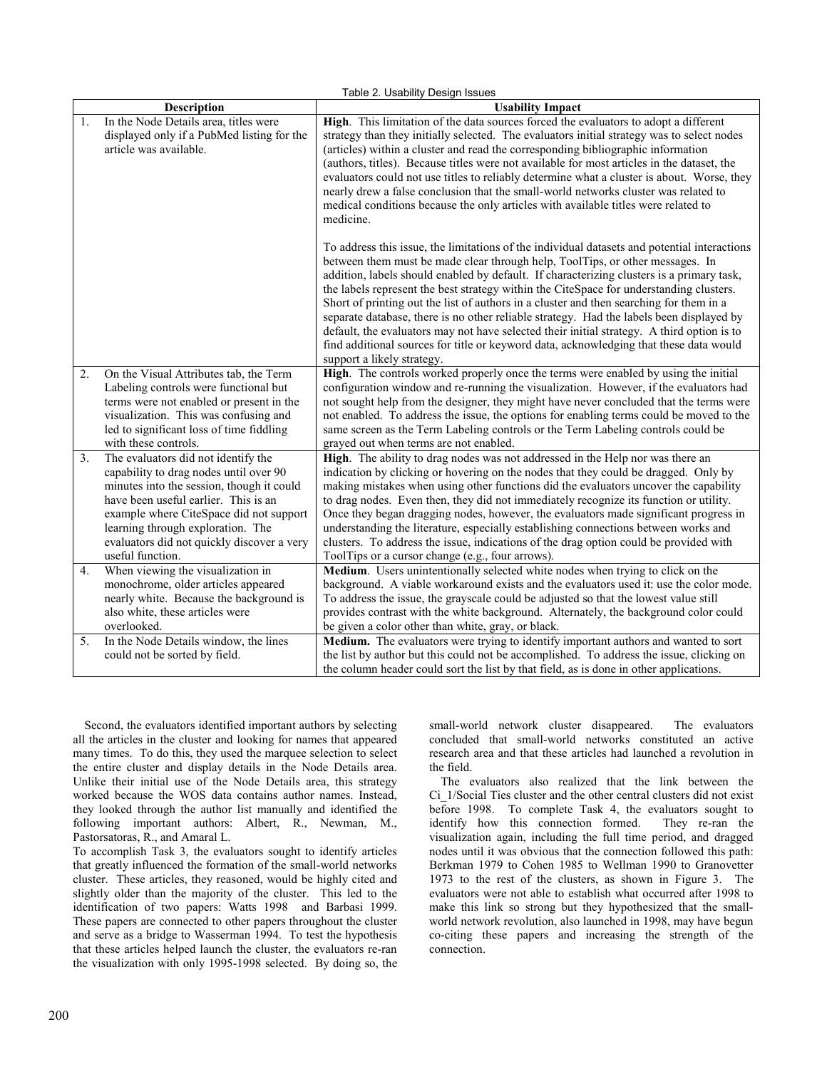|    | Description                                                                                                                                                                                                                                                                                                          | Table 2. Usability Design Issues<br><b>Usability Impact</b>                                                                                                                                                                                                                                                                                                                                                                                                                                                                                                                                                                                                                                                                                                                        |
|----|----------------------------------------------------------------------------------------------------------------------------------------------------------------------------------------------------------------------------------------------------------------------------------------------------------------------|------------------------------------------------------------------------------------------------------------------------------------------------------------------------------------------------------------------------------------------------------------------------------------------------------------------------------------------------------------------------------------------------------------------------------------------------------------------------------------------------------------------------------------------------------------------------------------------------------------------------------------------------------------------------------------------------------------------------------------------------------------------------------------|
| 1. | In the Node Details area, titles were<br>displayed only if a PubMed listing for the<br>article was available.                                                                                                                                                                                                        | High. This limitation of the data sources forced the evaluators to adopt a different<br>strategy than they initially selected. The evaluators initial strategy was to select nodes<br>(articles) within a cluster and read the corresponding bibliographic information<br>(authors, titles). Because titles were not available for most articles in the dataset, the<br>evaluators could not use titles to reliably determine what a cluster is about. Worse, they<br>nearly drew a false conclusion that the small-world networks cluster was related to<br>medical conditions because the only articles with available titles were related to<br>medicine.                                                                                                                       |
|    |                                                                                                                                                                                                                                                                                                                      | To address this issue, the limitations of the individual datasets and potential interactions<br>between them must be made clear through help, ToolTips, or other messages. In<br>addition, labels should enabled by default. If characterizing clusters is a primary task,<br>the labels represent the best strategy within the CiteSpace for understanding clusters.<br>Short of printing out the list of authors in a cluster and then searching for them in a<br>separate database, there is no other reliable strategy. Had the labels been displayed by<br>default, the evaluators may not have selected their initial strategy. A third option is to<br>find additional sources for title or keyword data, acknowledging that these data would<br>support a likely strategy. |
| 2. | On the Visual Attributes tab, the Term<br>Labeling controls were functional but<br>terms were not enabled or present in the<br>visualization. This was confusing and<br>led to significant loss of time fiddling<br>with these controls.                                                                             | High. The controls worked properly once the terms were enabled by using the initial<br>configuration window and re-running the visualization. However, if the evaluators had<br>not sought help from the designer, they might have never concluded that the terms were<br>not enabled. To address the issue, the options for enabling terms could be moved to the<br>same screen as the Term Labeling controls or the Term Labeling controls could be<br>grayed out when terms are not enabled.                                                                                                                                                                                                                                                                                    |
| 3. | The evaluators did not identify the<br>capability to drag nodes until over 90<br>minutes into the session, though it could<br>have been useful earlier. This is an<br>example where CiteSpace did not support<br>learning through exploration. The<br>evaluators did not quickly discover a very<br>useful function. | High. The ability to drag nodes was not addressed in the Help nor was there an<br>indication by clicking or hovering on the nodes that they could be dragged. Only by<br>making mistakes when using other functions did the evaluators uncover the capability<br>to drag nodes. Even then, they did not immediately recognize its function or utility.<br>Once they began dragging nodes, however, the evaluators made significant progress in<br>understanding the literature, especially establishing connections between works and<br>clusters. To address the issue, indications of the drag option could be provided with<br>ToolTips or a cursor change (e.g., four arrows).                                                                                                 |
| 4. | When viewing the visualization in<br>monochrome, older articles appeared<br>nearly white. Because the background is<br>also white, these articles were<br>overlooked.                                                                                                                                                | Medium. Users unintentionally selected white nodes when trying to click on the<br>background. A viable workaround exists and the evaluators used it: use the color mode.<br>To address the issue, the grayscale could be adjusted so that the lowest value still<br>provides contrast with the white background. Alternately, the background color could<br>be given a color other than white, gray, or black.                                                                                                                                                                                                                                                                                                                                                                     |
| 5. | In the Node Details window, the lines<br>could not be sorted by field.                                                                                                                                                                                                                                               | Medium. The evaluators were trying to identify important authors and wanted to sort<br>the list by author but this could not be accomplished. To address the issue, clicking on<br>the column header could sort the list by that field, as is done in other applications.                                                                                                                                                                                                                                                                                                                                                                                                                                                                                                          |

Second, the evaluators identified important authors by selecting all the articles in the cluster and looking for names that appeared many times. To do this, they used the marquee selection to select the entire cluster and display details in the Node Details area. Unlike their initial use of the Node Details area, this strategy worked because the WOS data contains author names. Instead, they looked through the author list manually and identified the following important authors: Albert, R., Newman, M., Pastorsatoras, R., and Amaral L.

To accomplish Task 3, the evaluators sought to identify articles that greatly influenced the formation of the small-world networks cluster. These articles, they reasoned, would be highly cited and slightly older than the majority of the cluster. This led to the identification of two papers: Watts 1998 and Barbasi 1999. These papers are connected to other papers throughout the cluster and serve as a bridge to Wasserman 1994. To test the hypothesis that these articles helped launch the cluster, the evaluators re-ran the visualization with only 1995-1998 selected. By doing so, the

small-world network cluster disappeared. The evaluators concluded that small-world networks constituted an active research area and that these articles had launched a revolution in the field.

The evaluators also realized that the link between the Ci\_1/Social Ties cluster and the other central clusters did not exist before 1998. To complete Task 4, the evaluators sought to identify how this connection formed. They re-ran the identify how this connection formed. visualization again, including the full time period, and dragged nodes until it was obvious that the connection followed this path: Berkman 1979 to Cohen 1985 to Wellman 1990 to Granovetter 1973 to the rest of the clusters, as shown in Figure 3. The evaluators were not able to establish what occurred after 1998 to make this link so strong but they hypothesized that the smallworld network revolution, also launched in 1998, may have begun co-citing these papers and increasing the strength of the connection.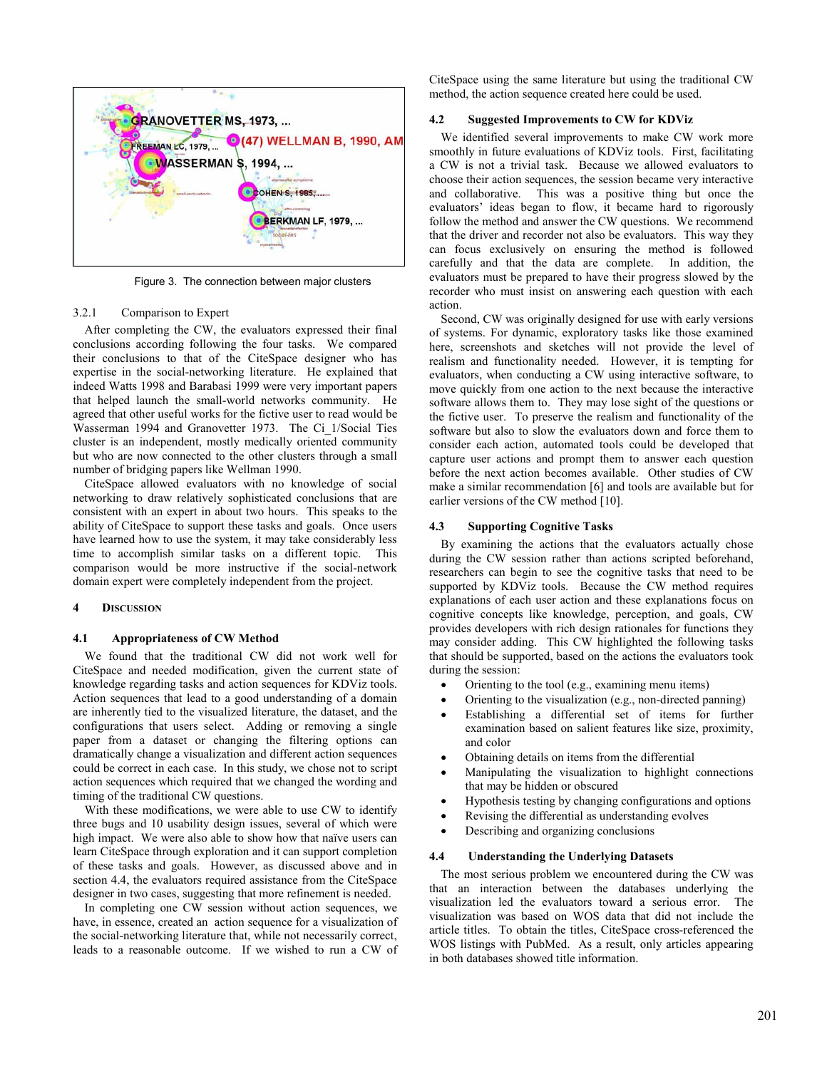

Figure 3. The connection between major clusters

### 3.2.1 Comparison to Expert

After completing the CW, the evaluators expressed their final conclusions according following the four tasks. We compared their conclusions to that of the CiteSpace designer who has expertise in the social-networking literature. He explained that indeed Watts 1998 and Barabasi 1999 were very important papers that helped launch the small-world networks community. He agreed that other useful works for the fictive user to read would be Wasserman 1994 and Granovetter 1973. The Ci\_1/Social Ties cluster is an independent, mostly medically oriented community but who are now connected to the other clusters through a small number of bridging papers like Wellman 1990.

CiteSpace allowed evaluators with no knowledge of social networking to draw relatively sophisticated conclusions that are consistent with an expert in about two hours. This speaks to the ability of CiteSpace to support these tasks and goals. Once users have learned how to use the system, it may take considerably less time to accomplish similar tasks on a different topic. This comparison would be more instructive if the social-network domain expert were completely independent from the project.

#### 4 DISCUSSION

### 4.1 Appropriateness of CW Method

We found that the traditional CW did not work well for CiteSpace and needed modification, given the current state of knowledge regarding tasks and action sequences for KDViz tools. Action sequences that lead to a good understanding of a domain are inherently tied to the visualized literature, the dataset, and the configurations that users select. Adding or removing a single paper from a dataset or changing the filtering options can dramatically change a visualization and different action sequences could be correct in each case. In this study, we chose not to script action sequences which required that we changed the wording and timing of the traditional CW questions.

With these modifications, we were able to use CW to identify three bugs and 10 usability design issues, several of which were high impact. We were also able to show how that naïve users can learn CiteSpace through exploration and it can support completion of these tasks and goals. However, as discussed above and in section 4.4, the evaluators required assistance from the CiteSpace designer in two cases, suggesting that more refinement is needed.

In completing one CW session without action sequences, we have, in essence, created an action sequence for a visualization of the social-networking literature that, while not necessarily correct, leads to a reasonable outcome. If we wished to run a CW of CiteSpace using the same literature but using the traditional CW method, the action sequence created here could be used.

#### 4.2 Suggested Improvements to CW for KDViz

We identified several improvements to make CW work more smoothly in future evaluations of KDViz tools. First, facilitating a CW is not a trivial task. Because we allowed evaluators to choose their action sequences, the session became very interactive and collaborative. This was a positive thing but once the evaluators' ideas began to flow, it became hard to rigorously follow the method and answer the CW questions. We recommend that the driver and recorder not also be evaluators. This way they can focus exclusively on ensuring the method is followed carefully and that the data are complete. In addition, the evaluators must be prepared to have their progress slowed by the recorder who must insist on answering each question with each action.

Second, CW was originally designed for use with early versions of systems. For dynamic, exploratory tasks like those examined here, screenshots and sketches will not provide the level of realism and functionality needed. However, it is tempting for evaluators, when conducting a CW using interactive software, to move quickly from one action to the next because the interactive software allows them to. They may lose sight of the questions or the fictive user. To preserve the realism and functionality of the software but also to slow the evaluators down and force them to consider each action, automated tools could be developed that capture user actions and prompt them to answer each question before the next action becomes available. Other studies of CW make a similar recommendation [6] and tools are available but for earlier versions of the CW method [10].

#### 4.3 Supporting Cognitive Tasks

By examining the actions that the evaluators actually chose during the CW session rather than actions scripted beforehand, researchers can begin to see the cognitive tasks that need to be supported by KDViz tools. Because the CW method requires explanations of each user action and these explanations focus on cognitive concepts like knowledge, perception, and goals, CW provides developers with rich design rationales for functions they may consider adding. This CW highlighted the following tasks that should be supported, based on the actions the evaluators took during the session:

- Orienting to the tool (e.g., examining menu items)
- Orienting to the visualization (e.g., non-directed panning)
- Establishing a differential set of items for further examination based on salient features like size, proximity, and color
- Obtaining details on items from the differential
- Manipulating the visualization to highlight connections that may be hidden or obscured
- Hypothesis testing by changing configurations and options
- Revising the differential as understanding evolves
- Describing and organizing conclusions

### 4.4 Understanding the Underlying Datasets

The most serious problem we encountered during the CW was that an interaction between the databases underlying the visualization led the evaluators toward a serious error. The visualization was based on WOS data that did not include the article titles. To obtain the titles, CiteSpace cross-referenced the WOS listings with PubMed. As a result, only articles appearing in both databases showed title information.